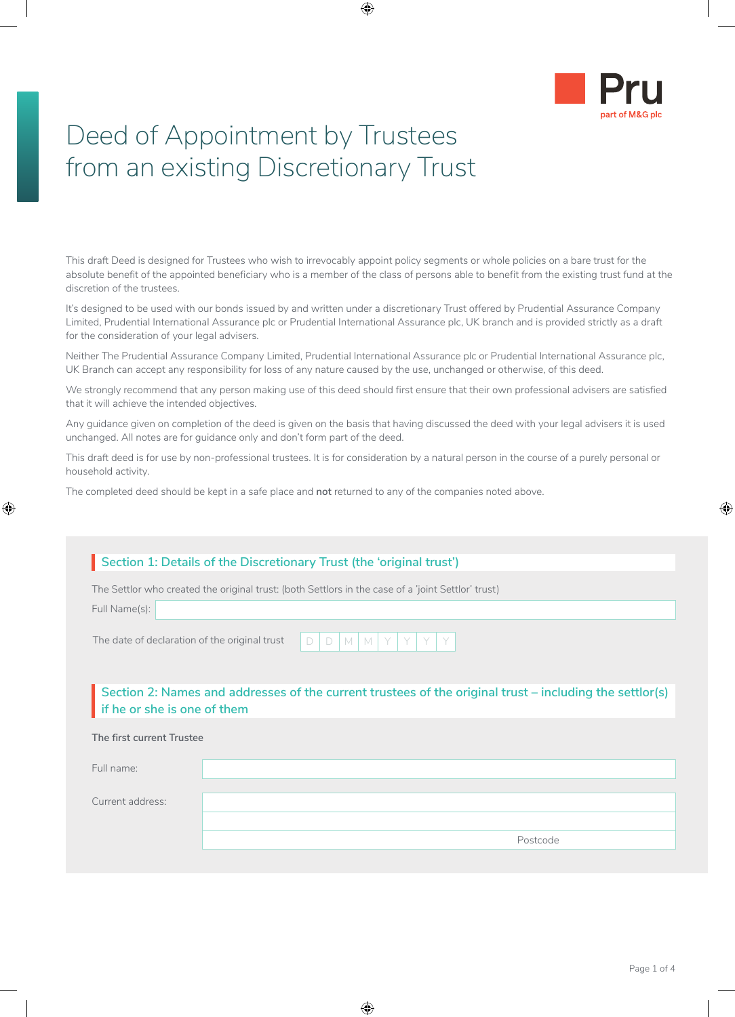

# Deed of Appointment by Trustees from an existing Discretionary Trust

This draft Deed is designed for Trustees who wish to irrevocably appoint policy segments or whole policies on a bare trust for the absolute benefit of the appointed beneficiary who is a member of the class of persons able to benefit from the existing trust fund at the discretion of the trustees.

It's designed to be used with our bonds issued by and written under a discretionary Trust offered by Prudential Assurance Company Limited, Prudential International Assurance plc or Prudential International Assurance plc, UK branch and is provided strictly as a draft for the consideration of your legal advisers.

Neither The Prudential Assurance Company Limited, Prudential International Assurance plc or Prudential International Assurance plc, UK Branch can accept any responsibility for loss of any nature caused by the use, unchanged or otherwise, of this deed.

We strongly recommend that any person making use of this deed should first ensure that their own professional advisers are satisfied that it will achieve the intended objectives.

Any guidance given on completion of the deed is given on the basis that having discussed the deed with your legal advisers it is used unchanged. All notes are for guidance only and don't form part of the deed.

This draft deed is for use by non-professional trustees. It is for consideration by a natural person in the course of a purely personal or household activity.

The completed deed should be kept in a safe place and **not** returned to any of the companies noted above.

| Section 1: Details of the Discretionary Trust (the 'original trust')                                                                   |                                                                                                    |  |  |
|----------------------------------------------------------------------------------------------------------------------------------------|----------------------------------------------------------------------------------------------------|--|--|
|                                                                                                                                        | The Settlor who created the original trust: (both Settlors in the case of a 'joint Settlor' trust) |  |  |
| Full Name(s):                                                                                                                          |                                                                                                    |  |  |
| The date of declaration of the original trust                                                                                          | M   M<br>Y<br>Y<br>D<br>D                                                                          |  |  |
| Section 2: Names and addresses of the current trustees of the original trust – including the settlor(s)<br>if he or she is one of them |                                                                                                    |  |  |
| The first current Trustee                                                                                                              |                                                                                                    |  |  |
| Full name:                                                                                                                             |                                                                                                    |  |  |
|                                                                                                                                        |                                                                                                    |  |  |
| Current address:                                                                                                                       |                                                                                                    |  |  |
|                                                                                                                                        |                                                                                                    |  |  |
|                                                                                                                                        | Postcode                                                                                           |  |  |
|                                                                                                                                        |                                                                                                    |  |  |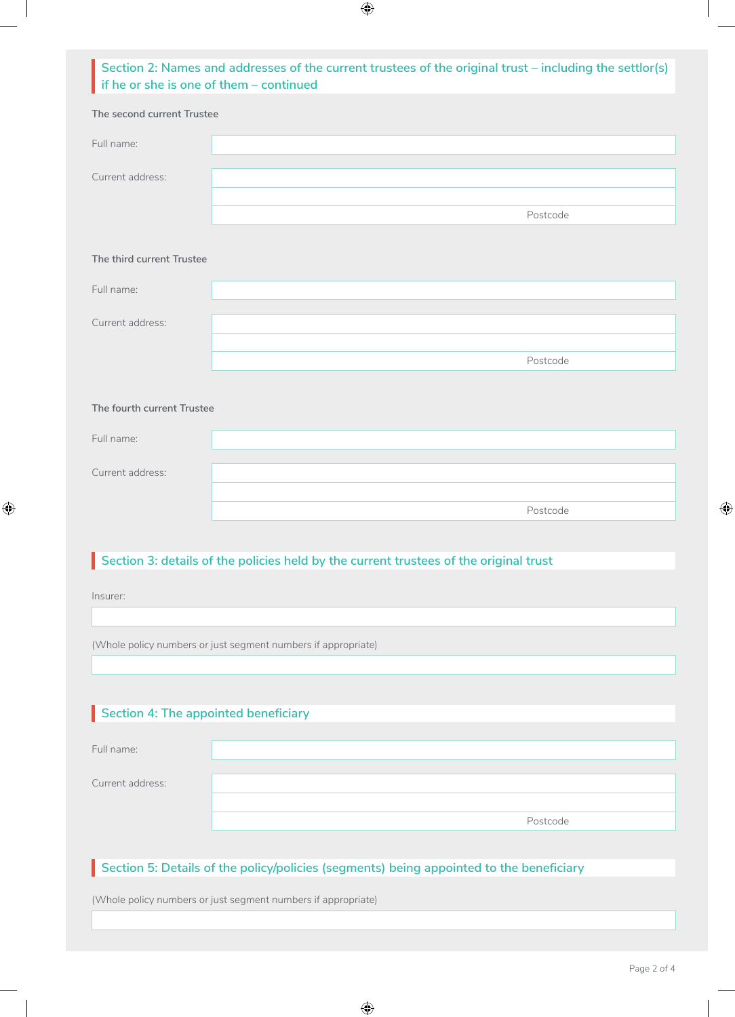# **Section 2: Names and addresses of the current trustees of the original trust – including the settlor(s) if he or she is one of them – continued**

| The second current Trustee                                                              |                                                                                       |  |  |
|-----------------------------------------------------------------------------------------|---------------------------------------------------------------------------------------|--|--|
| Full name:                                                                              |                                                                                       |  |  |
| Current address:                                                                        |                                                                                       |  |  |
|                                                                                         | Postcode                                                                              |  |  |
| The third current Trustee                                                               |                                                                                       |  |  |
| Full name:                                                                              |                                                                                       |  |  |
| Current address:                                                                        |                                                                                       |  |  |
|                                                                                         | Postcode                                                                              |  |  |
|                                                                                         |                                                                                       |  |  |
| The fourth current Trustee                                                              |                                                                                       |  |  |
| Full name:                                                                              |                                                                                       |  |  |
| Current address:                                                                        |                                                                                       |  |  |
|                                                                                         | Postcode                                                                              |  |  |
|                                                                                         |                                                                                       |  |  |
|                                                                                         | Section 3: details of the policies held by the current trustees of the original trust |  |  |
| Insurer:                                                                                |                                                                                       |  |  |
|                                                                                         |                                                                                       |  |  |
| (Whole policy numbers or just segment numbers if appropriate)                           |                                                                                       |  |  |
|                                                                                         |                                                                                       |  |  |
|                                                                                         |                                                                                       |  |  |
| Section 4: The appointed beneficiary                                                    |                                                                                       |  |  |
| Full name:                                                                              |                                                                                       |  |  |
| Current address:                                                                        |                                                                                       |  |  |
|                                                                                         | Postcode                                                                              |  |  |
|                                                                                         |                                                                                       |  |  |
| Section 5: Details of the policy/policies (segments) being appointed to the beneficiary |                                                                                       |  |  |
| (Whole policy numbers or just segment numbers if appropriate)                           |                                                                                       |  |  |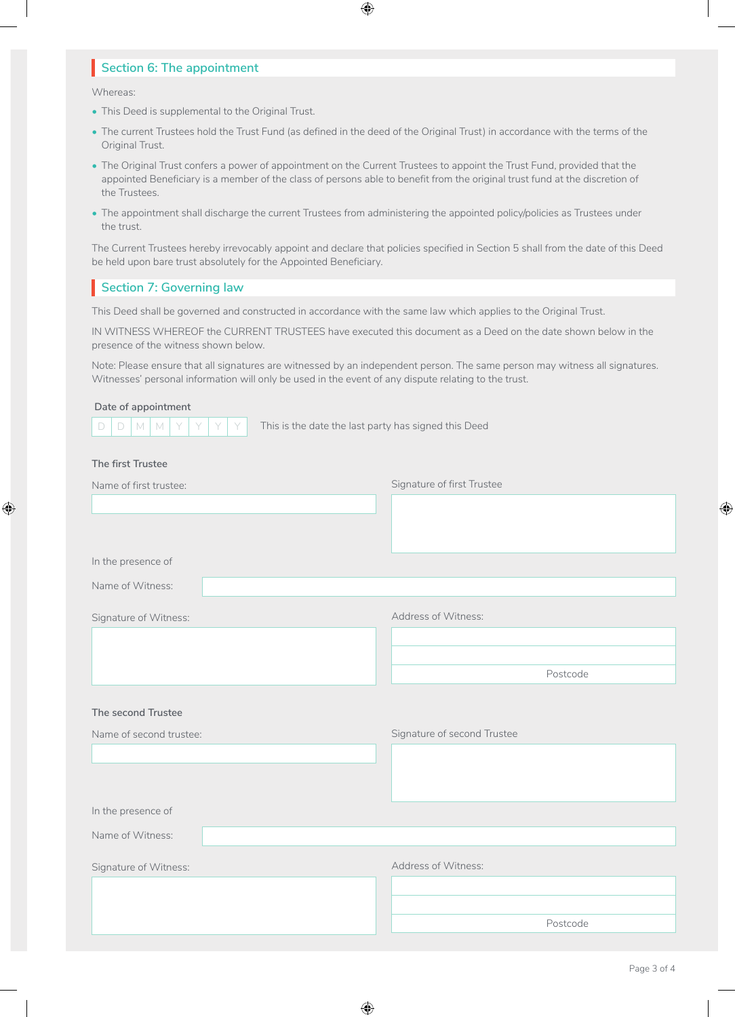## **Section 6: The appointment**

Whereas:

- This Deed is supplemental to the Original Trust.
- The current Trustees hold the Trust Fund (as defined in the deed of the Original Trust) in accordance with the terms of the Original Trust.
- The Original Trust confers a power of appointment on the Current Trustees to appoint the Trust Fund, provided that the appointed Beneficiary is a member of the class of persons able to benefit from the original trust fund at the discretion of the Trustees.
- The appointment shall discharge the current Trustees from administering the appointed policy/policies as Trustees under the trust.

The Current Trustees hereby irrevocably appoint and declare that policies specified in Section 5 shall from the date of this Deed be held upon bare trust absolutely for the Appointed Beneficiary.

### **Section 7: Governing law**

This Deed shall be governed and constructed in accordance with the same law which applies to the Original Trust.

IN WITNESS WHEREOF the CURRENT TRUSTEES have executed this document as a Deed on the date shown below in the presence of the witness shown below.

Note: Please ensure that all signatures are witnessed by an independent person. The same person may witness all signatures. Witnesses' personal information will only be used in the event of any dispute relating to the trust.

#### **Date of appointment**



 $D | D | M | M | Y | Y | Y | Y$  This is the date the last party has signed this Deed

#### **The first Trustee**

| Name of first trustee:  | Signature of first Trustee  |
|-------------------------|-----------------------------|
|                         |                             |
|                         |                             |
|                         |                             |
| In the presence of      |                             |
| Name of Witness:        |                             |
| Signature of Witness:   | Address of Witness:         |
|                         |                             |
|                         |                             |
|                         | Postcode                    |
|                         |                             |
| The second Trustee      |                             |
| Name of second trustee: | Signature of second Trustee |
|                         |                             |
|                         |                             |
|                         |                             |
| In the presence of      |                             |
| Name of Witness:        |                             |
| Signature of Witness:   | Address of Witness:         |
|                         |                             |
|                         |                             |
|                         | Postcode                    |